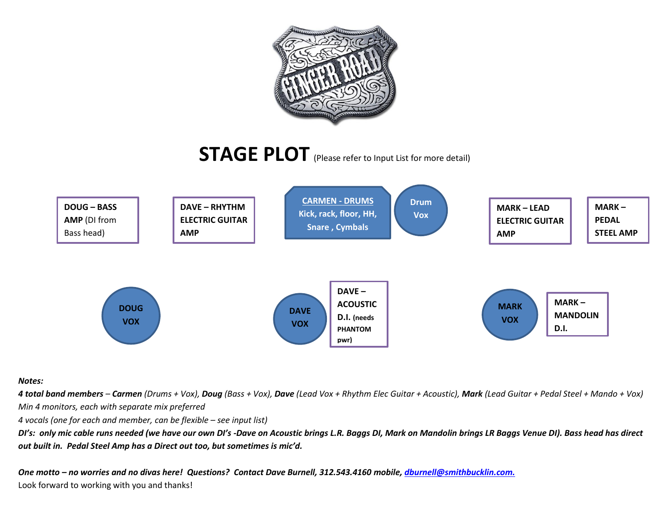

**STAGE PLOT** (Please refer to Input List for more detail)



## *Notes:*

4 total band members - Carmen (Drums + Vox), Doug (Bass + Vox), Dave (Lead Vox + Rhythm Elec Guitar + Acoustic), Mark (Lead Guitar + Pedal Steel + Mando + Vox) *Min 4 monitors, each with separate mix preferred*

*4 vocals (one for each and member, can be flexible – see input list)*

*DI's: only mic cable runs needed (we have our own DI's -Dave on Acoustic brings L.R. Baggs DI, Mark on Mandolin brings LR Baggs Venue DI). Bass head has direct out built in. Pedal Steel Amp has a Direct out too, but sometimes is mic'd.*

*One motto – no worries and no divas here! Questions? Contact Dave Burnell, 312.543.4160 mobile, [dburnell@smithbucklin.com.](mailto:dburnell@smithbucklin.com)* Look forward to working with you and thanks!